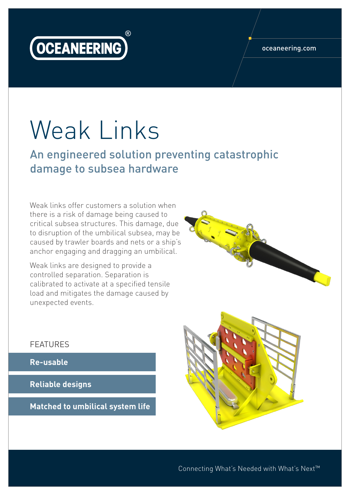

#### oceaneering.com

# Weak Links

An engineered solution preventing catastrophic damage to subsea hardware

Weak links offer customers a solution when there is a risk of damage being caused to critical subsea structures. This damage, due to disruption of the umbilical subsea, may be caused by trawler boards and nets or a ship's anchor engaging and dragging an umbilical.

Weak links are designed to provide a controlled separation. Separation is calibrated to activate at a specified tensile load and mitigates the damage caused by unexpected events.

#### FEATURES

**Re-usable**

**Reliable designs**

**Matched to umbilical system life**





Connecting What's Needed with What's Next™